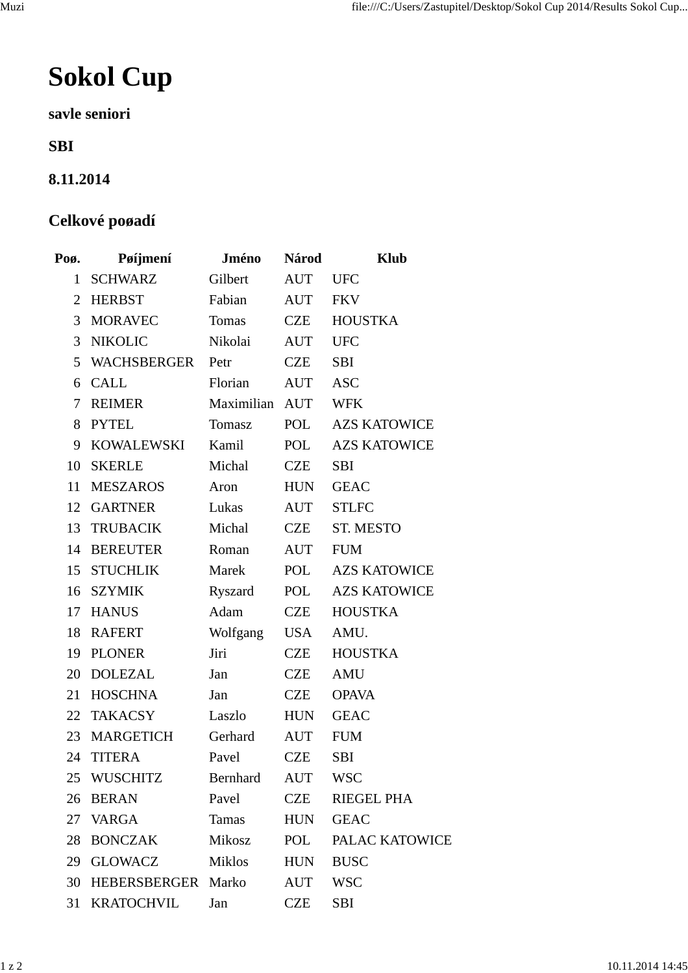## **Sokol Cup**

**savle seniori**

**SBI**

## **8.11.2014**

## **Celkové poøadí**

| Poø.           | Pøijmení           | <b>Jméno</b>   | <b>Národ</b> | <b>Klub</b>         |
|----------------|--------------------|----------------|--------------|---------------------|
| 1              | <b>SCHWARZ</b>     | Gilbert        | AUT          | <b>UFC</b>          |
| $\overline{2}$ | HERBST             | Fabian         | AUT          | <b>FKV</b>          |
| 3              | MORAVEC            | Tomas          | CZE          | <b>HOUSTKA</b>      |
| 3              | <b>NIKOLIC</b>     | Nikolai        | AUT          | <b>UFC</b>          |
|                | 5 WACHSBERGER Petr |                | CZE          | <b>SBI</b>          |
|                | 6 CALL             | Florian        | AUT          | <b>ASC</b>          |
| $\tau$         | REIMER             | Maximilian AUT |              | <b>WFK</b>          |
| 8              | <b>PYTEL</b>       | Tomasz         | POL          | <b>AZS KATOWICE</b> |
| 9              | KOWALEWSKI         | Kamil          | POL          | <b>AZS KATOWICE</b> |
| 10             | <b>SKERLE</b>      | Michal         | CZE          | <b>SBI</b>          |
| 11             | <b>MESZAROS</b>    | Aron           | HUN          | <b>GEAC</b>         |
|                | 12 GARTNER         | Lukas          | AUT          | <b>STLFC</b>        |
|                | 13 TRUBACIK        | Michal         | CZE          | <b>ST. MESTO</b>    |
| 14             | <b>BEREUTER</b>    | Roman          | AUT          | <b>FUM</b>          |
|                | 15 STUCHLIK        | Marek          | POL          | <b>AZS KATOWICE</b> |
|                | 16 SZYMIK          | Ryszard        | POL          | <b>AZS KATOWICE</b> |
| 17             | <b>HANUS</b>       | Adam           | CZE          | <b>HOUSTKA</b>      |
| 18             | RAFERT             | Wolfgang       | USA          | AMU.                |
| 19             | <b>PLONER</b>      | Jiri           | CZE          | <b>HOUSTKA</b>      |
| 20             | <b>DOLEZAL</b>     | Jan            | CZE          | <b>AMU</b>          |
| 21             | <b>HOSCHNA</b>     | Jan            | CZE          | <b>OPAVA</b>        |
|                | 22 TAKACSY         | Laszlo         | HUN          | <b>GEAC</b>         |
|                | 23 MARGETICH       | Gerhard        | AUT          | <b>FUM</b>          |
| 24             | <b>TITERA</b>      | Pavel          | <b>CZE</b>   | <b>SBI</b>          |
|                | 25 WUSCHITZ        | Bernhard       | <b>AUT</b>   | <b>WSC</b>          |
| 26             | <b>BERAN</b>       | Pavel          | CZE          | <b>RIEGEL PHA</b>   |
|                | 27 VARGA           | Tamas          | HUN          | <b>GEAC</b>         |
| 28             | BONCZAK            | Mikosz         | POL          | PALAC KATOWICE      |
|                | 29 GLOWACZ         | <b>Miklos</b>  | HUN          | <b>BUSC</b>         |
| 30             | HEBERSBERGER Marko |                | AUT          | <b>WSC</b>          |
| 31             | KRATOCHVIL         | Jan            | CZE          | SBI                 |